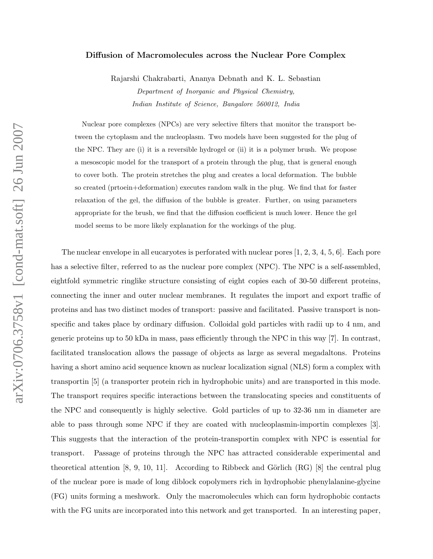## Diffusion of Macromolecules across the Nuclear Pore Complex

Rajarshi Chakrabarti, Ananya Debnath and K. L. Sebastian Department of Inorganic and Physical Chemistry, Indian Institute of Science, Bangalore 560012, India

Nuclear pore complexes (NPCs) are very selective filters that monitor the transport between the cytoplasm and the nucleoplasm. Two models have been suggested for the plug of the NPC. They are (i) it is a reversible hydrogel or (ii) it is a polymer brush. We propose a mesoscopic model for the transport of a protein through the plug, that is general enough to cover both. The protein stretches the plug and creates a local deformation. The bubble so created (prtoein+deformation) executes random walk in the plug. We find that for faster relaxation of the gel, the diffusion of the bubble is greater. Further, on using parameters appropriate for the brush, we find that the diffusion coefficient is much lower. Hence the gel model seems to be more likely explanation for the workings of the plug.

The nuclear envelope in all eucaryotes is perforated with nuclear pores [1, 2, 3, 4, 5, 6]. Each pore has a selective filter, referred to as the nuclear pore complex (NPC). The NPC is a self-assembled, eightfold symmetric ringlike structure consisting of eight copies each of 30-50 different proteins, connecting the inner and outer nuclear membranes. It regulates the import and export traffic of proteins and has two distinct modes of transport: passive and facilitated. Passive transport is nonspecific and takes place by ordinary diffusion. Colloidal gold particles with radii up to 4 nm, and generic proteins up to 50 kDa in mass, pass efficiently through the NPC in this way [7]. In contrast, facilitated translocation allows the passage of objects as large as several megadaltons. Proteins having a short amino acid sequence known as nuclear localization signal (NLS) form a complex with transportin [5] (a transporter protein rich in hydrophobic units) and are transported in this mode. The transport requires specific interactions between the translocating species and constituents of the NPC and consequently is highly selective. Gold particles of up to 32-36 nm in diameter are able to pass through some NPC if they are coated with nucleoplasmin-importin complexes [3]. This suggests that the interaction of the protein-transportin complex with NPC is essential for transport. Passage of proteins through the NPC has attracted considerable experimental and theoretical attention  $[8, 9, 10, 11]$ . According to Ribbeck and Görlich  $(RG)$   $[8]$  the central plug of the nuclear pore is made of long diblock copolymers rich in hydrophobic phenylalanine-glycine (FG) units forming a meshwork. Only the macromolecules which can form hydrophobic contacts with the FG units are incorporated into this network and get transported. In an interesting paper,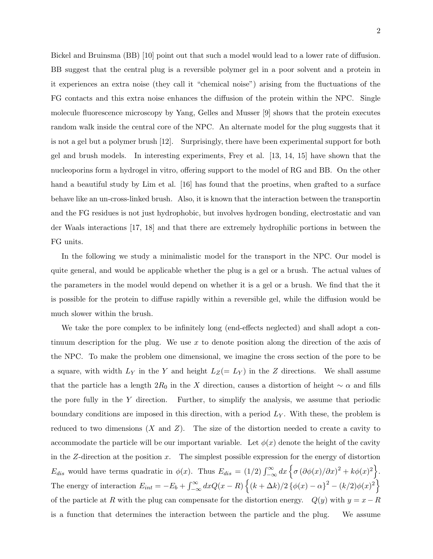Bickel and Bruinsma (BB) [10] point out that such a model would lead to a lower rate of diffusion. BB suggest that the central plug is a reversible polymer gel in a poor solvent and a protein in it experiences an extra noise (they call it "chemical noise") arising from the fluctuations of the FG contacts and this extra noise enhances the diffusion of the protein within the NPC. Single molecule fluorescence microscopy by Yang, Gelles and Musser [9] shows that the protein executes random walk inside the central core of the NPC. An alternate model for the plug suggests that it is not a gel but a polymer brush [12]. Surprisingly, there have been experimental support for both gel and brush models. In interesting experiments, Frey et al. [13, 14, 15] have shown that the nucleoporins form a hydrogel in vitro, offering support to the model of RG and BB. On the other hand a beautiful study by Lim et al. [16] has found that the proetins, when grafted to a surface behave like an un-cross-linked brush. Also, it is known that the interaction between the transportin and the FG residues is not just hydrophobic, but involves hydrogen bonding, electrostatic and van der Waals interactions [17, 18] and that there are extremely hydrophilic portions in between the FG units.

In the following we study a minimalistic model for the transport in the NPC. Our model is quite general, and would be applicable whether the plug is a gel or a brush. The actual values of the parameters in the model would depend on whether it is a gel or a brush. We find that the it is possible for the protein to diffuse rapidly within a reversible gel, while the diffusion would be much slower within the brush.

We take the pore complex to be infinitely long (end-effects neglected) and shall adopt a continuum description for the plug. We use x to denote position along the direction of the axis of the NPC. To make the problem one dimensional, we imagine the cross section of the pore to be a square, with width  $L_Y$  in the Y and height  $L_Z(= L_Y)$  in the Z directions. We shall assume that the particle has a length  $2R_0$  in the X direction, causes a distortion of height  $\sim \alpha$  and fills the pore fully in the Y direction. Further, to simplify the analysis, we assume that periodic boundary conditions are imposed in this direction, with a period  $L<sub>Y</sub>$ . With these, the problem is reduced to two dimensions  $(X \text{ and } Z)$ . The size of the distortion needed to create a cavity to accommodate the particle will be our important variable. Let  $\phi(x)$  denote the height of the cavity in the  $Z$ -direction at the position  $x$ . The simplest possible expression for the energy of distortion  $E_{dis}$  would have terms quadratic in  $\phi(x)$ . Thus  $E_{dis} = (1/2) \int_{-\infty}^{\infty} dx \left\{ \sigma (\partial \phi(x)/\partial x)^2 + k\phi(x)^2 \right\}$ . The energy of interaction  $E_{int} = -E_b + \int_{-\infty}^{\infty} dx Q(x - R) \left\{ (k + \Delta k)/2 \left\{ \phi(x) - \alpha \right\}^2 - (k/2) \phi(x)^2 \right\}$ of the particle at R with the plug can compensate for the distortion energy.  $Q(y)$  with  $y = x - R$ is a function that determines the interaction between the particle and the plug. We assume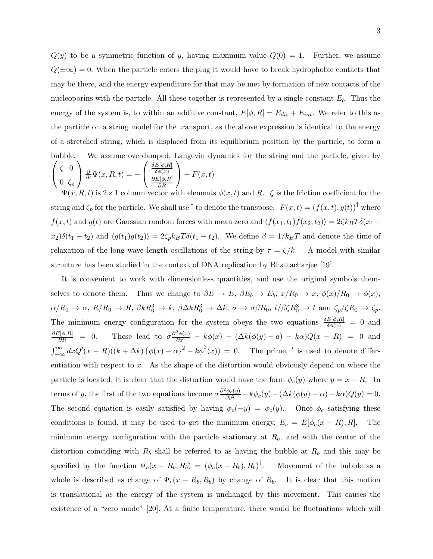$Q(y)$  to be a symmetric function of y, having maximum value  $Q(0) = 1$ . Further, we assume  $Q(\pm\infty) = 0$ . When the particle enters the plug it would have to break hydrophobic contacts that may be there, and the energy expenditure for that may be met by formation of new contacts of the nucleoporins with the particle. All these together is represented by a single constant  $E_b$ . Thus the energy of the system is, to within an additive constant,  $E[\phi, R] = E_{dis} + E_{int}$ . We refer to this as the particle on a string model for the transport, as the above expression is identical to the energy of a stretched string, which is displaced from its equilibrium position by the particle, to form a bubble. We assume overdamped, Langevin dynamics for the str ing and the particle, given by  $\sqrt{ }$  $\mathbf{I}$ ζ 0  $0 \zeta_p$  $\overline{1}$  $\frac{\partial}{\partial t}\Psi(x,R,t)= \sqrt{ }$  $\mathbf{I}$  $\delta E[\phi,R]$  $\delta \phi(x)$  $\partial E[\phi,R]$ ∂R  $\overline{1}$  $+ F(x, t)$ 

 $\Psi(x, R, t)$  is  $2 \times 1$  column vector with elements  $\phi(x, t)$  and R.  $\zeta$  is the friction coefficient for the string and  $\zeta_p$  for the particle. We shall use <sup>†</sup> to denote the transpose.  $F(x,t) = (f(x,t), g(t))^{\dagger}$  where  $f(x, t)$  and  $g(t)$  are Gaussian random forces with mean zero and  $\langle f(x_1, t_1)f(x_2, t_2)\rangle = 2\zeta k_BT\delta(x_1-t_1)$  $x_2)\delta(t_1 - t_2)$  and  $\langle g(t_1)g(t_2)\rangle = 2\zeta_p k_BT \delta(t_1 - t_2)$ . We define  $\beta = 1/k_BT$  and denote the time of relaxation of the long wave length oscillations of the string by  $\tau = \zeta/k$ . A model with similar structure has been studied in the context of DNA replication by Bhattacharjee [19].

It is convenient to work with dimensionless quantities, and use the original symbols themselves to denote them. Thus we change to  $\beta E \to E$ ,  $\beta E_b \to E_b$ ,  $x/R_0 \to x$ ,  $\phi(x)/R_0 \to \phi(x)$ ,  $\alpha/R_0 \to \alpha$ ,  $R/R_0 \to R$ ,  $\beta kR_0^3 \to k$ ,  $\beta \Delta kR_0^3 \to \Delta k$ ,  $\sigma \to \sigma \beta R_0$ ,  $t/\beta \zeta R_0^3 \to t$  and  $\zeta_p/\zeta R_0 \to \zeta_p$ . The minimum energy configuration for the system obeys the two equations  $\frac{\delta E[\phi,R]}{\delta \phi(x)} = 0$  and  $\frac{\partial E[\phi,R]}{\partial R} = 0.$  $\frac{\partial \bar{\partial}(\phi, R)}{\partial R} = 0.$  These lead to  $\sigma \frac{\partial^2 \phi(x)}{\partial x^2} - k\phi(x) - (\Delta k(\phi(y) - a) - k\alpha)Q(x - R) = 0$  and  $\int_{-\infty}^{\infty} dx Q'(x - R)((k + \Delta k) \{\phi(x) - \alpha\}^2 - k\phi^2(x)) = 0$ . The prime, ' is used to denote differentiation with respect to x. As the shape of the distortion would obviously depend on where the particle is located, it is clear that the distortion would have the form  $\phi_c(y)$  where  $y = x - R$ . In terms of y, the first of the two equations become  $\sigma \frac{\partial^2 \phi_c(y)}{\partial y^2} - k \phi_c(y) - (\Delta k(\phi(y) - \alpha) - k\alpha)Q(y) = 0.$ The second equation is easily satisfied by having  $\phi_c(-y) = \phi_c(y)$ . Once  $\phi_c$  satisfying these conditions is found, it may be used to get the minimum energy,  $E_c = E[\phi_c(x - R), R]$ . The minimum energy configuration with the particle stationary at  $R_b$ , and with the center of the distortion coinciding with  $R_b$  shall be referred to as having the bubble at  $R_b$  and this may be specified by the function  $\Psi_c(x - R_b, R_b) = (\phi_c(x - R_b), R_b)^{\dagger}$ . Movement of the bubble as a whole is described as change of  $\Psi_c(x - R_b, R_b)$  by change of  $R_b$ . It is clear that this motion is translational as the energy of the system is unchanged by this movement. This causes the existence of a "zero mode" [20]. At a finite temperature, there would be fluctuations which will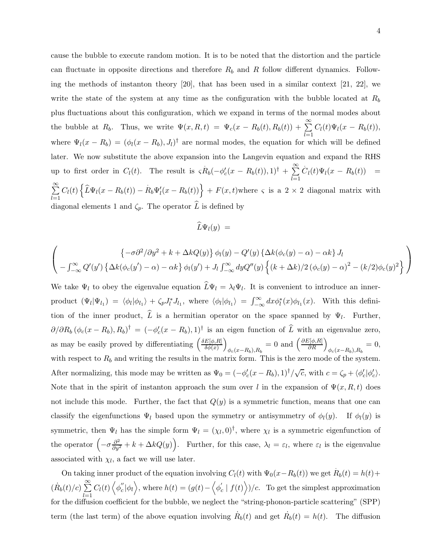cause the bubble to execute random motion. It is to be noted that the distortion and the particle can fluctuate in opposite directions and therefore  $R_b$  and R follow different dynamics. Following the methods of instanton theory [20], that has been used in a similar context [21, 22], we write the state of the system at any time as the configuration with the bubble located at  $R_b$ plus fluctuations about this configuration, which we expand in terms of the normal modes about the bubble at  $R_b$ . Thus, we write  $\Psi(x, R, t) = \Psi_c(x - R_b(t), R_b(t)) + \sum_{l=1}^{\infty} C_l(t) \Psi_l(x - R_b(t)),$ where  $\Psi_l(x - R_b) = (\phi_l(x - R_b), J_l)^{\dagger}$  are normal modes, the equation for which will be defined later. We now substitute the above expansion into the Langevin equation and expand the RHS up to first order in  $C_l(t)$ . The result is  $\zeta R_b(-\phi_c'(x - R_b(t)), 1)^\dagger + \sum_{k=1}^\infty$  $_{l=1}$  $\dot{C}_l(t)\Psi_l(x-R_b(t)) =$  $\sum^{\infty}$  $_{l=1}$  $C_l(t) \left\{ \widehat{L} \Psi_l(x - R_b(t)) - \dot{R}_b \Psi'_l(x - R_b(t)) \right\} + F(x, t)$  where  $\varsigma$  is a  $2 \times 2$  diagonal matrix with diagonal elements 1 and  $\zeta_p$ . The operator  $\widehat{L}$  is defined by

$$
\widehat{L}\Psi_l(y) =
$$

$$
\left(\begin{array}{c} \left\{-\sigma\partial^2/\partial y^2+k+\Delta kQ(y)\right\}\phi_l(y)-Q'(y)\left\{\Delta k(\phi_c(y)-\alpha)-\alpha k\right\}J_l \\ -\int_{-\infty}^{\infty}Q'(y')\left\{\Delta k(\phi_c(y')-\alpha)-\alpha k\right\}\phi_l(y')+J_l\int_{-\infty}^{\infty}dyQ''(y)\left\{(k+\Delta k)/2\left(\phi_c(y)-\alpha\right)^2-(k/2)\phi_c(y)^2\right\}\end{array}\right)
$$

We take  $\Psi_l$  to obey the eigenvalue equation  $L\Psi_l = \lambda_l \Psi_l$ . It is convenient to introduce an innerproduct  $(\Psi_l|\Psi_{l_1}) = \langle \phi_l | \phi_{l_1} \rangle + \zeta_p J_l^* J_{l_1}$ , where  $\langle \phi_l | \phi_{l_1} \rangle = \int_{-\infty}^{\infty} dx \phi_l^*(x) \phi_{l_1}(x)$ . With this definition of the inner product, L is a hermitian operator on the space spanned by  $\Psi_l$ . Further,  $\partial/\partial R_b (\phi_c(x - R_b), R_b)^{\dagger} = (-\phi_c'(x - R_b), 1)^{\dagger}$  is an eigen function of  $\hat{L}$  with an eigenvalue zero, as may be easily proved by differentiating  $\left(\frac{\delta E[\phi,R]}{\delta \phi(r)}\right)$  $\delta \phi (x)$  $\overline{ }$  $\phi_c(x-R_b), R_b = 0$  and  $\left(\frac{\partial E[\phi, R]}{\partial R}\right)_{\phi_c(x-R_b), R_b} = 0$ , with respect to  $R_b$  and writing the results in the matrix form. This is the zero mode of the system. After normalizing, this mode may be written as  $\Psi_0 = (-\phi_c'(x - R_b), 1)^\dagger / \sqrt{c}$ , with  $c = \zeta_p + \langle \phi_c' | \phi_c' \rangle$ . Note that in the spirit of instanton approach the sum over l in the expansion of  $\Psi(x, R, t)$  does not include this mode. Further, the fact that  $Q(y)$  is a symmetric function, means that one can classify the eigenfunctions  $\Psi_l$  based upon the symmetry or antisymmetry of  $\phi_l(y)$ . If  $\phi_l(y)$  is symmetric, then  $\Psi_l$  has the simple form  $\Psi_l = (\chi_l, 0)^{\dagger}$ , where  $\chi_l$  is a symmetric eigenfunction of the operator  $\left(-\sigma \frac{\partial^2}{\partial y^2} + k + \Delta k Q(y)\right)$ . Further, for this case,  $\lambda_l = \varepsilon_l$ , where  $\varepsilon_l$  is the eigenvalue associated with  $\chi_l$ , a fact we will use later.

On taking inner product of the equation involving  $C_l(t)$  with  $\Psi_0(x - R_b(t))$  we get  $\dot{R}_b(t) = h(t) +$  $(\dot{R}_b(t)/c) \sum_{n=1}^{\infty}$  $_{l=1}$  $C_l(t)\left\langle \phi^{\prime\prime}_c\right\rangle$  $\langle c' | \phi_l \rangle$ , where  $h(t) = (g(t) - \langle \phi'_c \rangle)$  $c' \mid f(t)$ )/c. To get the simplest approximation for the diffusion coefficient for the bubble, we neglect the "string-phonon-particle scattering" (SPP) term (the last term) of the above equation involving  $\dot{R}_b(t)$  and get  $\dot{R}_b(t) = h(t)$ . The diffusion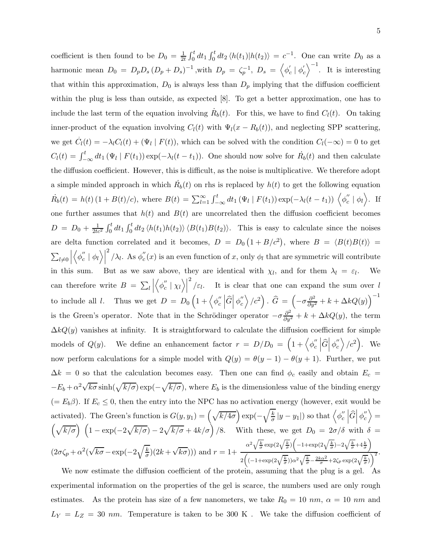coefficient is then found to be  $D_0 = \frac{1}{2t} \int_0^t dt_1 \int_0^t dt_2 \langle h(t_1)|h(t_2)\rangle = c^{-1}$ . One can write  $D_0$  as a harmonic mean  $D_0 = D_p D_s (D_p + D_s)^{-1}$ , with  $D_p = \zeta_p^{-1}$ ,  $D_s = \langle \phi'_e \rangle$  $\int_{c}^{\prime}$  |  $\phi_{c}^{\prime}$ c  $\Big\}^{-1}$ . It is interesting that within this approximation,  $D_0$  is always less than  $D_p$  implying that the diffusion coefficient within the plug is less than outside, as expected [8]. To get a better approximation, one has to include the last term of the equation involving  $\dot{R}_b(t)$ . For this, we have to find  $C_l(t)$ . On taking inner-product of the equation involving  $C_l(t)$  with  $\Psi_l(x - R_b(t))$ , and neglecting SPP scattering, we get  $\dot{C}_l(t) = -\lambda_l C_l(t) + (\Psi_l \mid F(t))$ , which can be solved with the condition  $C_l(-\infty) = 0$  to get  $C_l(t) = \int_{-\infty}^t dt_1(\Psi_l \mid F(t_1)) \exp(-\lambda_l(t - t_1)).$  One should now solve for  $\dot{R}_b(t)$  and then calculate the diffusion coefficient. However, this is difficult, as the noise is multiplicative. We therefore adopt a simple minded approach in which  $\dot{R_b}(t)$  on rhs is replaced by  $h(t)$  to get the following equation  $\dot{R_{b}}(t) = h(t) (1 + B(t)/c)$ , where  $B(t) = \sum_{l=1}^{\infty} \int_{-\infty}^{t} dt_1 (\Psi_l | F(t_1)) \exp(-\lambda_l(t - t_1)) \langle \phi_l''(t_1) | F(t_1) \rangle$  $c''$  |  $\phi_l$  }. If one further assumes that  $h(t)$  and  $B(t)$  are uncorrelated then the diffusion coefficient becomes  $D = D_0 + \frac{1}{2tc^2} \int_0^t dt_1 \int_0^t dt_2 \langle h(t_1)h(t_2) \rangle \langle B(t_1)B(t_2) \rangle$ . This is easy to calculate since the noises are delta function correlated and it becomes,  $D = D_0(1 + B/c^2)$ , where  $B = \langle B(t)B(t) \rangle =$  $\sum_{l\neq 0}$   $\langle \phi_c''$  $c' | \phi_l \rangle |$ <sup>2</sup>  $\lambda_l$ . As  $\phi_c^{''}$  $c<sub>c</sub><sup>u</sup>(x)$  is an even function of x, only  $\phi<sub>l</sub>$  that are symmetric will contribute in this sum. But as we saw above, they are identical with  $\chi_l$ , and for them  $\lambda_l = \varepsilon_l$ . We can therefore write  $B = \sum_{l}$  $\begin{array}{c} \hline \end{array}$  $\big\langle \phi_c^{''}$  $\binom{n}{c} \left| \chi_l \right>$ <sup>2</sup>/ $\varepsilon$ <sub>l</sub>. It is clear that one can expand the sum over l to include all l. Thus we get  $D = D_0 \left(1 + \langle \phi''_c \rangle \right)$ c  $\left| \widehat{G} \right| \phi''_c$ c  $\left\langle c^{2}\right\rangle$ .  $\widehat{G} = \left(-\sigma\frac{\partial^{2}}{\partial y^{2}} + k + \Delta kQ(y)\right)^{-1}$ is the Green's operator. Note that in the Schrödinger operator  $-\sigma \frac{\partial^2}{\partial y^2} + k + \Delta k Q(y)$ , the term  $\Delta kQ(y)$  vanishes at infinity. It is straightforward to calculate the diffusion coefficient for simple models of  $Q(y)$ . We define an enhancement factor  $r = D/D_0 = (1 + \langle \phi''_c \rangle)^2$ c  $\left| \widehat{G} \right| \phi''_c$ c  $\rangle/c^2$ ). We now perform calculations for a simple model with  $Q(y) = \theta(y-1) - \theta(y+1)$ . Further, we put  $\Delta k = 0$  so that the calculation becomes easy. Then one can find  $\phi_c$  easily and obtain  $E_c =$  $-E_b + \alpha^2 \sqrt{k \sigma} \sinh(\sqrt{k/\sigma}) \exp(-\sqrt{k/\sigma})$ , where  $E_b$  is the dimensionless value of the binding energy  $(= E_b \beta)$ . If  $E_c \leq 0$ , then the entry into the NPC has no activation energy (however, exit would be activated). The Green's function is  $G(y, y_1) = \left(\sqrt{k/4\sigma}\right) \exp(-\sigma)$  $\sqrt{k}$  $\frac{\overline{k}}{\sigma}|y-y_1|$ ) so that  $\left\langle \phi''_c \right\rangle$ c  $\left| \widehat{G} \right| \phi''_c$ c  $\rangle =$  $\left(\sqrt{k/\sigma}\right)$   $\left(1 - \exp(-2\sqrt{k/\sigma}) - 2\sqrt{k/\sigma} + 4k/\sigma\right)$  /8. With these, we get  $D_0 = 2\sigma/\delta$  with  $\delta =$  $(2\sigma\zeta_p + \alpha^2(\sqrt{k\sigma} - \exp(-2\sqrt{\frac{k}{\sigma}}$  $\frac{k}{\sigma}$  $(2k+\sqrt{k\sigma}))$  and  $r=1+$  $\alpha^2 \sqrt{\frac{k}{\sigma}} \exp\left(2\sqrt{\frac{k}{\sigma}}\right) \left(-1+\exp\left(2\sqrt{\frac{k}{\sigma}}\right)-2\sqrt{\frac{k}{\sigma}}+4\frac{k}{\sigma}\right)$  $2\left((-1+\exp\left(2\sqrt{\frac{k}{\sigma}}\right))\alpha^2\sqrt{\frac{k}{\sigma}}-\frac{2k\alpha^2}{\sigma}+2\zeta_p\exp\left(2\sqrt{\frac{k}{\sigma}}\right)\right)^2$ .

We now estimate the diffusion coefficient of the protein, assuming that the plug is a gel. As experimental information on the properties of the gel is scarce, the numbers used are only rough estimates. As the protein has size of a few nanometers, we take  $R_0 = 10 \ nm$ ,  $\alpha = 10 \ nm$  and  $L_Y = L_Z = 30$  nm. Temperature is taken to be 300 K. We take the diffusion coefficient of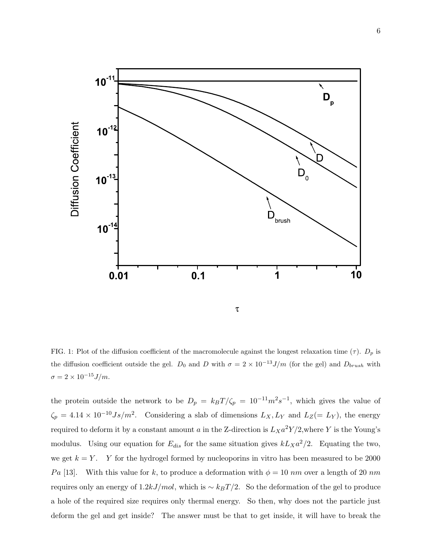

FIG. 1: Plot of the diffusion coefficient of the macromolecule against the longest relaxation time ( $\tau$ ).  $D_p$  is the diffusion coefficient outside the gel. D<sub>0</sub> and D with  $\sigma = 2 \times 10^{-13} J/m$  (for the gel) and D<sub>brush</sub> with  $\sigma=2\times 10^{-15} J/m.$ 

the protein outside the network to be  $D_p = k_B T/\zeta_p = 10^{-11} m^2 s^{-1}$ , which gives the value of  $\zeta_p = 4.14 \times 10^{-10} Js/m^2$ . Considering a slab of dimensions  $L_X, L_Y$  and  $L_Z (= L_Y)$ , the energy required to deform it by a constant amount a in the Z-direction is  $L_{X}a^{2}Y/2$ , where Y is the Young's modulus. Using our equation for  $E_{dis}$  for the same situation gives  $kL_{X}a^{2}/2$ . Equating the two, we get  $k = Y$ . Y for the hydrogel formed by nucleoporins in vitro has been measured to be 2000 Pa [13]. With this value for k, to produce a deformation with  $\phi = 10 \ nm$  over a length of 20 nm requires only an energy of  $1.2kJ/mol$ , which is ~  $k_BT/2$ . So the deformation of the gel to produce a hole of the required size requires only thermal energy. So then, why does not the particle just deform the gel and get inside? The answer must be that to get inside, it will have to break the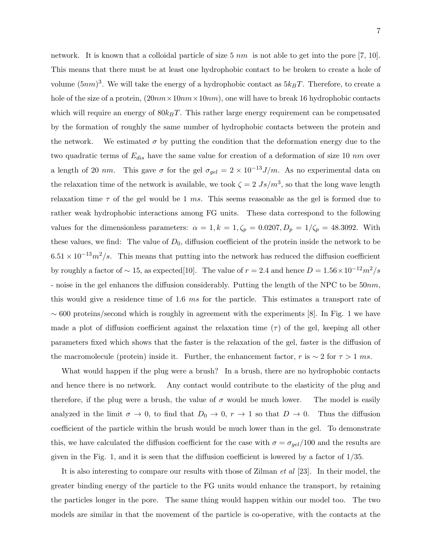network. It is known that a colloidal particle of size  $5 \ nm$  is not able to get into the pore [7, 10]. This means that there must be at least one hydrophobic contact to be broken to create a hole of volume  $(5nm)^3$ . We will take the energy of a hydrophobic contact as  $5k_BT$ . Therefore, to create a hole of the size of a protein,  $(20nm \times 10nm \times 10nm)$ , one will have to break 16 hydrophobic contacts which will require an energy of  $80k_BT$ . This rather large energy requirement can be compensated by the formation of roughly the same number of hydrophobic contacts between the protein and the network. We estimated  $\sigma$  by putting the condition that the deformation energy due to the two quadratic terms of  $E_{dis}$  have the same value for creation of a deformation of size 10 nm over a length of 20 nm. This gave  $\sigma$  for the gel  $\sigma_{gel} = 2 \times 10^{-13} J/m$ . As no experimental data on the relaxation time of the network is available, we took  $\zeta = 2 Js/m^3$ , so that the long wave length relaxation time  $\tau$  of the gel would be 1 ms. This seems reasonable as the gel is formed due to rather weak hydrophobic interactions among FG units. These data correspond to the following values for the dimensionless parameters:  $\alpha = 1, k = 1, \zeta_p = 0.0207, D_p = 1/\zeta_p = 48.3092$ . With these values, we find: The value of  $D_0$ , diffusion coefficient of the protein inside the network to be  $6.51 \times 10^{-13} m^2/s$ . This means that putting into the network has reduced the diffusion coefficient by roughly a factor of  $\sim 15$ , as expected[10]. The value of  $r = 2.4$  and hence  $D = 1.56 \times 10^{-12} m^2/s$ - noise in the gel enhances the diffusion considerably. Putting the length of the NPC to be  $50nm$ , this would give a residence time of 1.6 ms for the particle. This estimates a transport rate of  $\sim 600$  proteins/second which is roughly in agreement with the experiments [8]. In Fig. 1 we have made a plot of diffusion coefficient against the relaxation time  $(\tau)$  of the gel, keeping all other parameters fixed which shows that the faster is the relaxation of the gel, faster is the diffusion of the macromolecule (protein) inside it. Further, the enhancement factor, r is  $\sim 2$  for  $\tau > 1$  ms.

What would happen if the plug were a brush? In a brush, there are no hydrophobic contacts and hence there is no network. Any contact would contribute to the elasticity of the plug and therefore, if the plug were a brush, the value of  $\sigma$  would be much lower. The model is easily analyzed in the limit  $\sigma \to 0$ , to find that  $D_0 \to 0$ ,  $r \to 1$  so that  $D \to 0$ . Thus the diffusion coefficient of the particle within the brush would be much lower than in the gel. To demonstrate this, we have calculated the diffusion coefficient for the case with  $\sigma = \sigma_{gel}/100$  and the results are given in the Fig. 1, and it is seen that the diffusion coefficient is lowered by a factor of 1/35.

It is also interesting to compare our results with those of Zilman et al [23]. In their model, the greater binding energy of the particle to the FG units would enhance the transport, by retaining the particles longer in the pore. The same thing would happen within our model too. The two models are similar in that the movement of the particle is co-operative, with the contacts at the